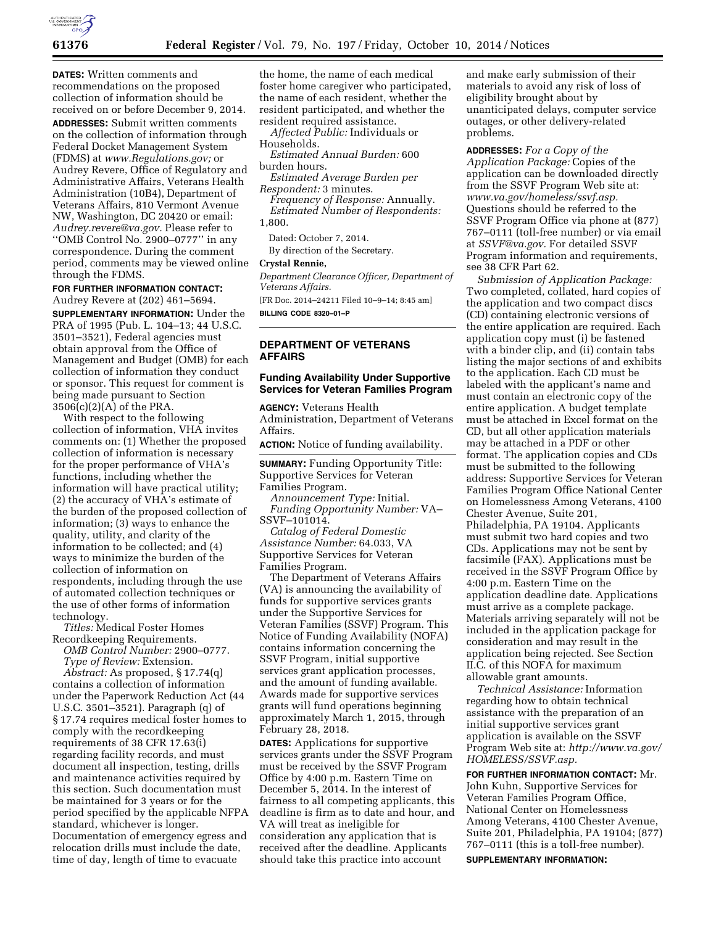

**DATES:** Written comments and recommendations on the proposed collection of information should be received on or before December 9, 2014.

**ADDRESSES:** Submit written comments on the collection of information through Federal Docket Management System (FDMS) at *[www.Regulations.gov;](http://www.Regulations.gov)* or Audrey Revere, Office of Regulatory and Administrative Affairs, Veterans Health Administration (10B4), Department of Veterans Affairs, 810 Vermont Avenue NW, Washington, DC 20420 or email: *[Audrey.revere@va.gov.](mailto:Audrey.revere@va.gov)* Please refer to ''OMB Control No. 2900–0777'' in any correspondence. During the comment period, comments may be viewed online through the FDMS.

# **FOR FURTHER INFORMATION CONTACT:**

Audrey Revere at (202) 461–5694. **SUPPLEMENTARY INFORMATION:** Under the PRA of 1995 (Pub. L. 104–13; 44 U.S.C. 3501–3521), Federal agencies must obtain approval from the Office of Management and Budget (OMB) for each collection of information they conduct or sponsor. This request for comment is being made pursuant to Section 3506(c)(2)(A) of the PRA.

With respect to the following collection of information, VHA invites comments on: (1) Whether the proposed collection of information is necessary for the proper performance of VHA's functions, including whether the information will have practical utility; (2) the accuracy of VHA's estimate of the burden of the proposed collection of information; (3) ways to enhance the quality, utility, and clarity of the information to be collected; and (4) ways to minimize the burden of the collection of information on respondents, including through the use of automated collection techniques or the use of other forms of information technology.

*Titles:* Medical Foster Homes Recordkeeping Requirements.

*OMB Control Number:* 2900–0777. *Type of Review:* Extension.

*Abstract:* As proposed, § 17.74(q) contains a collection of information under the Paperwork Reduction Act (44 U.S.C. 3501–3521). Paragraph (q) of § 17.74 requires medical foster homes to comply with the recordkeeping requirements of 38 CFR 17.63(i) regarding facility records, and must document all inspection, testing, drills and maintenance activities required by this section. Such documentation must be maintained for 3 years or for the period specified by the applicable NFPA standard, whichever is longer. Documentation of emergency egress and relocation drills must include the date, time of day, length of time to evacuate

the home, the name of each medical foster home caregiver who participated, the name of each resident, whether the resident participated, and whether the resident required assistance.

*Affected Public:* Individuals or Households.

*Estimated Annual Burden:* 600 burden hours.

*Estimated Average Burden per Respondent:* 3 minutes.

*Frequency of Response:* Annually. *Estimated Number of Respondents:*  1,800.

Dated: October 7, 2014.

By direction of the Secretary.

#### **Crystal Rennie,**

*Department Clearance Officer, Department of Veterans Affairs.* 

[FR Doc. 2014–24211 Filed 10–9–14; 8:45 am] **BILLING CODE 8320–01–P** 

**DEPARTMENT OF VETERANS AFFAIRS** 

## **Funding Availability Under Supportive Services for Veteran Families Program**

**AGENCY:** Veterans Health Administration, Department of Veterans Affairs.

**ACTION:** Notice of funding availability.

**SUMMARY:** Funding Opportunity Title: Supportive Services for Veteran Families Program.

*Announcement Type:* Initial. *Funding Opportunity Number:* VA– SSVF–101014.

*Catalog of Federal Domestic Assistance Number:* 64.033, VA Supportive Services for Veteran Families Program.

The Department of Veterans Affairs (VA) is announcing the availability of funds for supportive services grants under the Supportive Services for Veteran Families (SSVF) Program. This Notice of Funding Availability (NOFA) contains information concerning the SSVF Program, initial supportive services grant application processes, and the amount of funding available. Awards made for supportive services grants will fund operations beginning approximately March 1, 2015, through February 28, 2018.

**DATES:** Applications for supportive services grants under the SSVF Program must be received by the SSVF Program Office by 4:00 p.m. Eastern Time on December 5, 2014. In the interest of fairness to all competing applicants, this deadline is firm as to date and hour, and VA will treat as ineligible for consideration any application that is received after the deadline. Applicants should take this practice into account

and make early submission of their materials to avoid any risk of loss of eligibility brought about by unanticipated delays, computer service outages, or other delivery-related problems.

**ADDRESSES:** *For a Copy of the Application Package:* Copies of the application can be downloaded directly from the SSVF Program Web site at: *[www.va.gov/homeless/ssvf.asp.](http://www.va.gov/homeless/ssvf.asp)*  Questions should be referred to the SSVF Program Office via phone at (877) 767–0111 (toll-free number) or via email at *[SSVF@va.gov.](mailto:SSVF@va.gov)* For detailed SSVF Program information and requirements, see 38 CFR Part 62.

*Submission of Application Package:*  Two completed, collated, hard copies of the application and two compact discs (CD) containing electronic versions of the entire application are required. Each application copy must (i) be fastened with a binder clip, and (ii) contain tabs listing the major sections of and exhibits to the application. Each CD must be labeled with the applicant's name and must contain an electronic copy of the entire application. A budget template must be attached in Excel format on the CD, but all other application materials may be attached in a PDF or other format. The application copies and CDs must be submitted to the following address: Supportive Services for Veteran Families Program Office National Center on Homelessness Among Veterans, 4100 Chester Avenue, Suite 201, Philadelphia, PA 19104. Applicants must submit two hard copies and two CDs. Applications may not be sent by facsimile (FAX). Applications must be received in the SSVF Program Office by 4:00 p.m. Eastern Time on the application deadline date. Applications must arrive as a complete package. Materials arriving separately will not be included in the application package for consideration and may result in the application being rejected. See Section II.C. of this NOFA for maximum allowable grant amounts.

*Technical Assistance:* Information regarding how to obtain technical assistance with the preparation of an initial supportive services grant application is available on the SSVF Program Web site at: *[http://www.va.gov/](http://www.va.gov/HOMELESS/SSVF.asp)  [HOMELESS/SSVF.asp.](http://www.va.gov/HOMELESS/SSVF.asp)* 

**FOR FURTHER INFORMATION CONTACT:** Mr. John Kuhn, Supportive Services for Veteran Families Program Office, National Center on Homelessness Among Veterans, 4100 Chester Avenue, Suite 201, Philadelphia, PA 19104; (877) 767–0111 (this is a toll-free number).

**SUPPLEMENTARY INFORMATION:**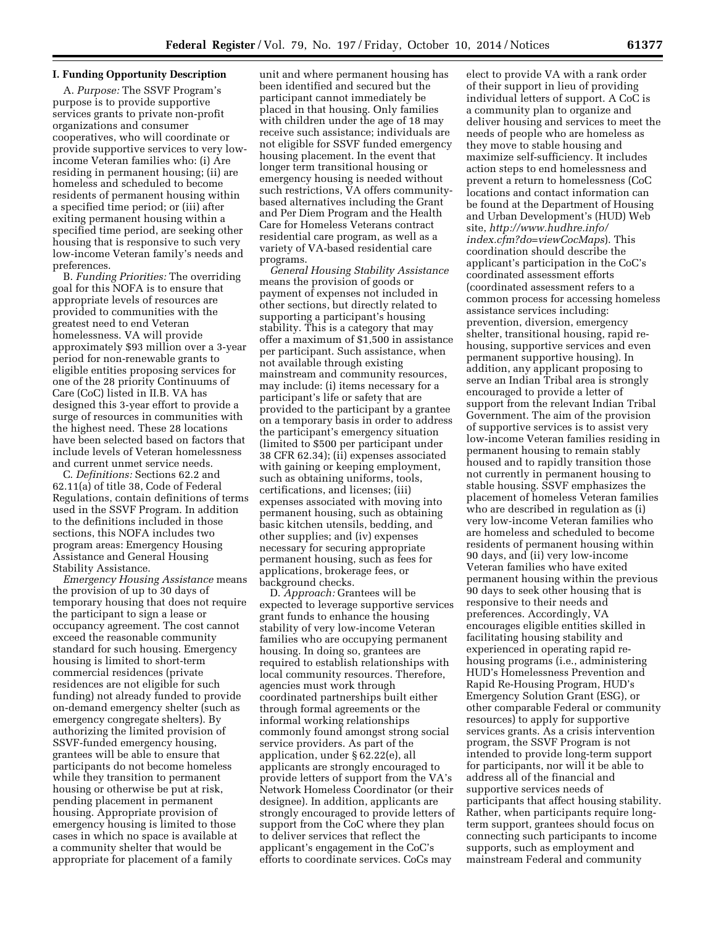## **I. Funding Opportunity Description**

A. *Purpose:* The SSVF Program's purpose is to provide supportive services grants to private non-profit organizations and consumer cooperatives, who will coordinate or provide supportive services to very lowincome Veteran families who: (i) Are residing in permanent housing; (ii) are homeless and scheduled to become residents of permanent housing within a specified time period; or (iii) after exiting permanent housing within a specified time period, are seeking other housing that is responsive to such very low-income Veteran family's needs and preferences.

B. *Funding Priorities:* The overriding goal for this NOFA is to ensure that appropriate levels of resources are provided to communities with the greatest need to end Veteran homelessness. VA will provide approximately \$93 million over a 3-year period for non-renewable grants to eligible entities proposing services for one of the 28 priority Continuums of Care (CoC) listed in II.B. VA has designed this 3-year effort to provide a surge of resources in communities with the highest need. These 28 locations have been selected based on factors that include levels of Veteran homelessness and current unmet service needs.

C. *Definitions:* Sections 62.2 and 62.11(a) of title 38, Code of Federal Regulations, contain definitions of terms used in the SSVF Program. In addition to the definitions included in those sections, this NOFA includes two program areas: Emergency Housing Assistance and General Housing Stability Assistance.

*Emergency Housing Assistance* means the provision of up to 30 days of temporary housing that does not require the participant to sign a lease or occupancy agreement. The cost cannot exceed the reasonable community standard for such housing. Emergency housing is limited to short-term commercial residences (private residences are not eligible for such funding) not already funded to provide on-demand emergency shelter (such as emergency congregate shelters). By authorizing the limited provision of SSVF-funded emergency housing, grantees will be able to ensure that participants do not become homeless while they transition to permanent housing or otherwise be put at risk, pending placement in permanent housing. Appropriate provision of emergency housing is limited to those cases in which no space is available at a community shelter that would be appropriate for placement of a family

unit and where permanent housing has been identified and secured but the participant cannot immediately be placed in that housing. Only families with children under the age of 18 may receive such assistance; individuals are not eligible for SSVF funded emergency housing placement. In the event that longer term transitional housing or emergency housing is needed without such restrictions, VA offers communitybased alternatives including the Grant and Per Diem Program and the Health Care for Homeless Veterans contract residential care program, as well as a variety of VA-based residential care programs.

*General Housing Stability Assistance*  means the provision of goods or payment of expenses not included in other sections, but directly related to supporting a participant's housing stability. This is a category that may offer a maximum of \$1,500 in assistance per participant. Such assistance, when not available through existing mainstream and community resources, may include: (i) items necessary for a participant's life or safety that are provided to the participant by a grantee on a temporary basis in order to address the participant's emergency situation (limited to \$500 per participant under 38 CFR 62.34); (ii) expenses associated with gaining or keeping employment, such as obtaining uniforms, tools, certifications, and licenses; (iii) expenses associated with moving into permanent housing, such as obtaining basic kitchen utensils, bedding, and other supplies; and (iv) expenses necessary for securing appropriate permanent housing, such as fees for applications, brokerage fees, or background checks.

D. *Approach:* Grantees will be expected to leverage supportive services grant funds to enhance the housing stability of very low-income Veteran families who are occupying permanent housing. In doing so, grantees are required to establish relationships with local community resources. Therefore, agencies must work through coordinated partnerships built either through formal agreements or the informal working relationships commonly found amongst strong social service providers. As part of the application, under § 62.22(e), all applicants are strongly encouraged to provide letters of support from the VA's Network Homeless Coordinator (or their designee). In addition, applicants are strongly encouraged to provide letters of support from the CoC where they plan to deliver services that reflect the applicant's engagement in the CoC's efforts to coordinate services. CoCs may

elect to provide VA with a rank order of their support in lieu of providing individual letters of support. A CoC is a community plan to organize and deliver housing and services to meet the needs of people who are homeless as they move to stable housing and maximize self-sufficiency. It includes action steps to end homelessness and prevent a return to homelessness (CoC locations and contact information can be found at the Department of Housing and Urban Development's (HUD) Web site, *[http://www.hudhre.info/](http://www.hudhre.info/index.cfm?do=viewCocMaps) [index.cfm?do=viewCocMaps](http://www.hudhre.info/index.cfm?do=viewCocMaps)*). This coordination should describe the applicant's participation in the CoC's coordinated assessment efforts (coordinated assessment refers to a common process for accessing homeless assistance services including: prevention, diversion, emergency shelter, transitional housing, rapid rehousing, supportive services and even permanent supportive housing). In addition, any applicant proposing to serve an Indian Tribal area is strongly encouraged to provide a letter of support from the relevant Indian Tribal Government. The aim of the provision of supportive services is to assist very low-income Veteran families residing in permanent housing to remain stably housed and to rapidly transition those not currently in permanent housing to stable housing. SSVF emphasizes the placement of homeless Veteran families who are described in regulation as (i) very low-income Veteran families who are homeless and scheduled to become residents of permanent housing within 90 days, and (ii) very low-income Veteran families who have exited permanent housing within the previous 90 days to seek other housing that is responsive to their needs and preferences. Accordingly, VA encourages eligible entities skilled in facilitating housing stability and experienced in operating rapid rehousing programs (i.e., administering HUD's Homelessness Prevention and Rapid Re-Housing Program, HUD's Emergency Solution Grant (ESG), or other comparable Federal or community resources) to apply for supportive services grants. As a crisis intervention program, the SSVF Program is not intended to provide long-term support for participants, nor will it be able to address all of the financial and supportive services needs of participants that affect housing stability. Rather, when participants require longterm support, grantees should focus on connecting such participants to income supports, such as employment and mainstream Federal and community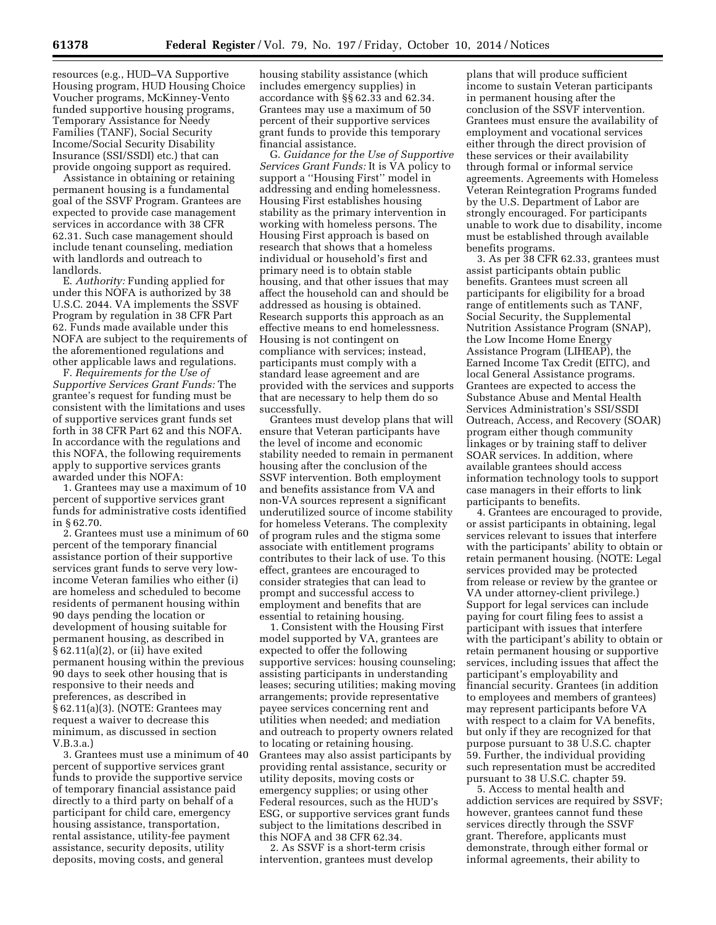resources (e.g., HUD–VA Supportive Housing program, HUD Housing Choice Voucher programs, McKinney-Vento funded supportive housing programs, Temporary Assistance for Needy Families (TANF), Social Security Income/Social Security Disability Insurance (SSI/SSDI) etc.) that can provide ongoing support as required.

Assistance in obtaining or retaining permanent housing is a fundamental goal of the SSVF Program. Grantees are expected to provide case management services in accordance with 38 CFR 62.31. Such case management should include tenant counseling, mediation with landlords and outreach to landlords.

E. *Authority:* Funding applied for under this NOFA is authorized by 38 U.S.C. 2044. VA implements the SSVF Program by regulation in 38 CFR Part 62. Funds made available under this NOFA are subject to the requirements of the aforementioned regulations and other applicable laws and regulations.

F. *Requirements for the Use of Supportive Services Grant Funds:* The grantee's request for funding must be consistent with the limitations and uses of supportive services grant funds set forth in 38 CFR Part 62 and this NOFA. In accordance with the regulations and this NOFA, the following requirements apply to supportive services grants awarded under this NOFA:

1. Grantees may use a maximum of 10 percent of supportive services grant funds for administrative costs identified in § 62.70.

2. Grantees must use a minimum of 60 percent of the temporary financial assistance portion of their supportive services grant funds to serve very lowincome Veteran families who either (i) are homeless and scheduled to become residents of permanent housing within 90 days pending the location or development of housing suitable for permanent housing, as described in § 62.11(a)(2), or (ii) have exited permanent housing within the previous 90 days to seek other housing that is responsive to their needs and preferences, as described in § 62.11(a)(3). (NOTE: Grantees may request a waiver to decrease this minimum, as discussed in section V.B.3.a.)

3. Grantees must use a minimum of 40 percent of supportive services grant funds to provide the supportive service of temporary financial assistance paid directly to a third party on behalf of a participant for child care, emergency housing assistance, transportation, rental assistance, utility-fee payment assistance, security deposits, utility deposits, moving costs, and general

housing stability assistance (which includes emergency supplies) in accordance with §§ 62.33 and 62.34. Grantees may use a maximum of 50 percent of their supportive services grant funds to provide this temporary financial assistance.

G. *Guidance for the Use of Supportive Services Grant Funds:* It is VA policy to support a ''Housing First'' model in addressing and ending homelessness. Housing First establishes housing stability as the primary intervention in working with homeless persons. The Housing First approach is based on research that shows that a homeless individual or household's first and primary need is to obtain stable housing, and that other issues that may affect the household can and should be addressed as housing is obtained. Research supports this approach as an effective means to end homelessness. Housing is not contingent on compliance with services; instead, participants must comply with a standard lease agreement and are provided with the services and supports that are necessary to help them do so successfully.

Grantees must develop plans that will ensure that Veteran participants have the level of income and economic stability needed to remain in permanent housing after the conclusion of the SSVF intervention. Both employment and benefits assistance from VA and non-VA sources represent a significant underutilized source of income stability for homeless Veterans. The complexity of program rules and the stigma some associate with entitlement programs contributes to their lack of use. To this effect, grantees are encouraged to consider strategies that can lead to prompt and successful access to employment and benefits that are essential to retaining housing.

1. Consistent with the Housing First model supported by VA, grantees are expected to offer the following supportive services: housing counseling; assisting participants in understanding leases; securing utilities; making moving arrangements; provide representative payee services concerning rent and utilities when needed; and mediation and outreach to property owners related to locating or retaining housing. Grantees may also assist participants by providing rental assistance, security or utility deposits, moving costs or emergency supplies; or using other Federal resources, such as the HUD's ESG, or supportive services grant funds subject to the limitations described in this NOFA and 38 CFR 62.34.

2. As SSVF is a short-term crisis intervention, grantees must develop

plans that will produce sufficient income to sustain Veteran participants in permanent housing after the conclusion of the SSVF intervention. Grantees must ensure the availability of employment and vocational services either through the direct provision of these services or their availability through formal or informal service agreements. Agreements with Homeless Veteran Reintegration Programs funded by the U.S. Department of Labor are strongly encouraged. For participants unable to work due to disability, income must be established through available benefits programs.

3. As per 38 CFR 62.33, grantees must assist participants obtain public benefits. Grantees must screen all participants for eligibility for a broad range of entitlements such as TANF, Social Security, the Supplemental Nutrition Assistance Program (SNAP), the Low Income Home Energy Assistance Program (LIHEAP), the Earned Income Tax Credit (EITC), and local General Assistance programs. Grantees are expected to access the Substance Abuse and Mental Health Services Administration's SSI/SSDI Outreach, Access, and Recovery (SOAR) program either though community linkages or by training staff to deliver SOAR services. In addition, where available grantees should access information technology tools to support case managers in their efforts to link participants to benefits.

4. Grantees are encouraged to provide, or assist participants in obtaining, legal services relevant to issues that interfere with the participants' ability to obtain or retain permanent housing. (NOTE: Legal services provided may be protected from release or review by the grantee or VA under attorney-client privilege.) Support for legal services can include paying for court filing fees to assist a participant with issues that interfere with the participant's ability to obtain or retain permanent housing or supportive services, including issues that affect the participant's employability and financial security. Grantees (in addition to employees and members of grantees) may represent participants before VA with respect to a claim for VA benefits, but only if they are recognized for that purpose pursuant to 38 U.S.C. chapter 59. Further, the individual providing such representation must be accredited pursuant to 38 U.S.C. chapter 59.

5. Access to mental health and addiction services are required by SSVF; however, grantees cannot fund these services directly through the SSVF grant. Therefore, applicants must demonstrate, through either formal or informal agreements, their ability to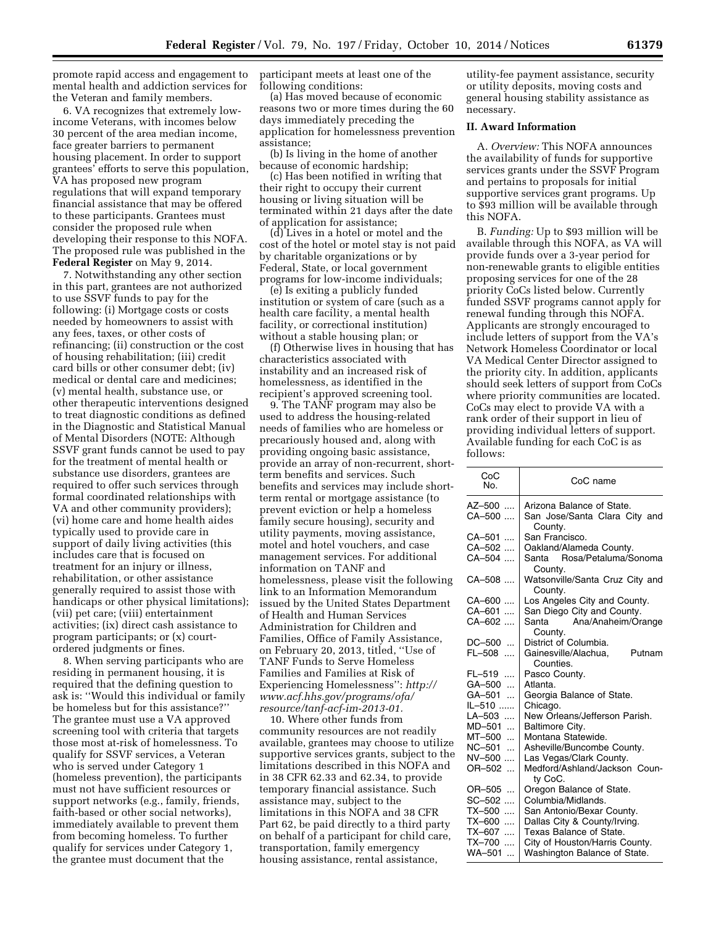promote rapid access and engagement to mental health and addiction services for the Veteran and family members.

6. VA recognizes that extremely lowincome Veterans, with incomes below 30 percent of the area median income, face greater barriers to permanent housing placement. In order to support grantees' efforts to serve this population, VA has proposed new program regulations that will expand temporary financial assistance that may be offered to these participants. Grantees must consider the proposed rule when developing their response to this NOFA. The proposed rule was published in the **Federal Register** on May 9, 2014.

7. Notwithstanding any other section in this part, grantees are not authorized to use SSVF funds to pay for the following: (i) Mortgage costs or costs needed by homeowners to assist with any fees, taxes, or other costs of refinancing; (ii) construction or the cost of housing rehabilitation; (iii) credit card bills or other consumer debt; (iv) medical or dental care and medicines; (v) mental health, substance use, or other therapeutic interventions designed to treat diagnostic conditions as defined in the Diagnostic and Statistical Manual of Mental Disorders (NOTE: Although SSVF grant funds cannot be used to pay for the treatment of mental health or substance use disorders, grantees are required to offer such services through formal coordinated relationships with VA and other community providers); (vi) home care and home health aides typically used to provide care in support of daily living activities (this includes care that is focused on treatment for an injury or illness, rehabilitation, or other assistance generally required to assist those with handicaps or other physical limitations); (vii) pet care; (viii) entertainment activities; (ix) direct cash assistance to program participants; or (x) courtordered judgments or fines.

8. When serving participants who are residing in permanent housing, it is required that the defining question to ask is: ''Would this individual or family be homeless but for this assistance?'' The grantee must use a VA approved screening tool with criteria that targets those most at-risk of homelessness. To qualify for SSVF services, a Veteran who is served under Category 1 (homeless prevention), the participants must not have sufficient resources or support networks (e.g., family, friends, faith-based or other social networks), immediately available to prevent them from becoming homeless. To further qualify for services under Category 1, the grantee must document that the

participant meets at least one of the following conditions:

(a) Has moved because of economic reasons two or more times during the 60 days immediately preceding the application for homelessness prevention assistance;

(b) Is living in the home of another because of economic hardship;

(c) Has been notified in writing that their right to occupy their current housing or living situation will be terminated within 21 days after the date of application for assistance;

(d) Lives in a hotel or motel and the cost of the hotel or motel stay is not paid by charitable organizations or by Federal, State, or local government programs for low-income individuals;

(e) Is exiting a publicly funded institution or system of care (such as a health care facility, a mental health facility, or correctional institution) without a stable housing plan; or

(f) Otherwise lives in housing that has characteristics associated with instability and an increased risk of homelessness, as identified in the recipient's approved screening tool.

9. The TANF program may also be used to address the housing-related needs of families who are homeless or precariously housed and, along with providing ongoing basic assistance, provide an array of non-recurrent, shortterm benefits and services. Such benefits and services may include shortterm rental or mortgage assistance (to prevent eviction or help a homeless family secure housing), security and utility payments, moving assistance, motel and hotel vouchers, and case management services. For additional information on TANF and homelessness, please visit the following link to an Information Memorandum issued by the United States Department of Health and Human Services Administration for Children and Families, Office of Family Assistance, on February 20, 2013, titled, ''Use of TANF Funds to Serve Homeless Families and Families at Risk of Experiencing Homelessness'': *[http://](http://www.acf.hhs.gov/programs/ofa/resource/tanf-acf-im-2013-01) [www.acf.hhs.gov/programs/ofa/](http://www.acf.hhs.gov/programs/ofa/resource/tanf-acf-im-2013-01) [resource/tanf-acf-im-2013-01.](http://www.acf.hhs.gov/programs/ofa/resource/tanf-acf-im-2013-01)* 

10. Where other funds from community resources are not readily available, grantees may choose to utilize supportive services grants, subject to the limitations described in this NOFA and in 38 CFR 62.33 and 62.34, to provide temporary financial assistance. Such assistance may, subject to the limitations in this NOFA and 38 CFR Part 62, be paid directly to a third party on behalf of a participant for child care, transportation, family emergency housing assistance, rental assistance,

utility-fee payment assistance, security or utility deposits, moving costs and general housing stability assistance as necessary.

## **II. Award Information**

A. *Overview:* This NOFA announces the availability of funds for supportive services grants under the SSVF Program and pertains to proposals for initial supportive services grant programs. Up to \$93 million will be available through this NOFA.

B. *Funding:* Up to \$93 million will be available through this NOFA, as VA will provide funds over a 3-year period for non-renewable grants to eligible entities proposing services for one of the 28 priority CoCs listed below. Currently funded SSVF programs cannot apply for renewal funding through this NOFA. Applicants are strongly encouraged to include letters of support from the VA's Network Homeless Coordinator or local VA Medical Center Director assigned to the priority city. In addition, applicants should seek letters of support from CoCs where priority communities are located. CoCs may elect to provide VA with a rank order of their support in lieu of providing individual letters of support. Available funding for each CoC is as follows:

| CoC<br>No.          | CoC name                                    |
|---------------------|---------------------------------------------|
| AZ–500 ….           | Arizona Balance of State.                   |
| CA-500              | San Jose/Santa Clara City and<br>County.    |
| CA–501              | San Francisco.                              |
| CA-502              | Oakland/Alameda County.                     |
| CA-504              | Rosa/Petaluma/Sonoma<br>Santa<br>County.    |
| CA–508 ….           | Watsonville/Santa Cruz City and<br>County.  |
| CA–600              | Los Angeles City and County.                |
| CA-601              | San Diego City and County.                  |
| CA-602              | Santa<br>Ana/Anaheim/Orange                 |
|                     | County.                                     |
| DC-500              | District of Columbia.                       |
| FL-508              | Gainesville/Alachua,<br>Putnam<br>Counties. |
| FL-519              | Pasco County.                               |
| GA–500<br>$\ddotsc$ | Atlanta.                                    |
| GA–501<br>$\ddotsc$ | Georgia Balance of State.                   |
| IL-510              | Chicago.                                    |
| LA-503              | New Orleans/Jefferson Parish.               |
| MD–501<br>$\ddotsc$ | Baltimore City.                             |
| MT-500<br>$\ddotsc$ | Montana Statewide.                          |
| NC-501<br>$\ddotsc$ | Asheville/Buncombe County.                  |
| NV-500              | Las Vegas/Clark County.                     |
| OR-502              | Medford/Ashland/Jackson Coun-<br>ty CoC.    |
| OR–505 …            | Oregon Balance of State.                    |
| SC-502              | Columbia/Midlands.                          |
| TX-500              | San Antonio/Bexar County.                   |
| TX-600              | Dallas City & County/Irving.                |
| TX-607<br>$\ddotsc$ | Texas Balance of State.                     |
| TX-700<br>$\cdots$  | City of Houston/Harris County.              |
| WA-501<br>$\ddotsc$ | Washington Balance of State.                |
|                     |                                             |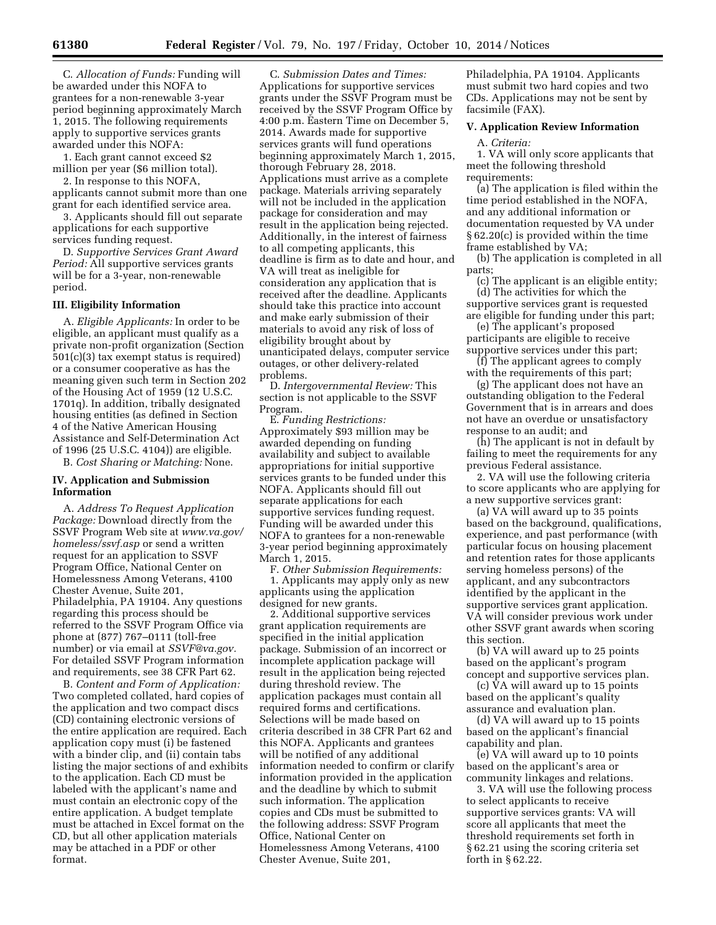C. *Allocation of Funds:* Funding will be awarded under this NOFA to grantees for a non-renewable 3-year period beginning approximately March 1, 2015. The following requirements apply to supportive services grants awarded under this NOFA:

1. Each grant cannot exceed \$2 million per year (\$6 million total).

2. In response to this NOFA, applicants cannot submit more than one grant for each identified service area.

3. Applicants should fill out separate applications for each supportive services funding request.

D. *Supportive Services Grant Award Period:* All supportive services grants will be for a 3-year, non-renewable period.

### **III. Eligibility Information**

A. *Eligible Applicants:* In order to be eligible, an applicant must qualify as a private non-profit organization (Section 501(c)(3) tax exempt status is required) or a consumer cooperative as has the meaning given such term in Section 202 of the Housing Act of 1959 (12 U.S.C. 1701q). In addition, tribally designated housing entities (as defined in Section 4 of the Native American Housing Assistance and Self-Determination Act of 1996 (25 U.S.C. 4104)) are eligible. B. *Cost Sharing or Matching:* None.

# **IV. Application and Submission Information**

A. *Address To Request Application Package:* Download directly from the SSVF Program Web site at *[www.va.gov/](http://www.va.gov/homeless/ssvf.asp) [homeless/ssvf.asp](http://www.va.gov/homeless/ssvf.asp)* or send a written request for an application to SSVF Program Office, National Center on Homelessness Among Veterans, 4100 Chester Avenue, Suite 201, Philadelphia, PA 19104. Any questions regarding this process should be referred to the SSVF Program Office via phone at (877) 767–0111 (toll-free number) or via email at *[SSVF@va.gov.](mailto:SSVF@va.gov)*  For detailed SSVF Program information and requirements, see 38 CFR Part 62.

B. *Content and Form of Application:*  Two completed collated, hard copies of the application and two compact discs (CD) containing electronic versions of the entire application are required. Each application copy must (i) be fastened with a binder clip, and (ii) contain tabs listing the major sections of and exhibits to the application. Each CD must be labeled with the applicant's name and must contain an electronic copy of the entire application. A budget template must be attached in Excel format on the CD, but all other application materials may be attached in a PDF or other format.

C. *Submission Dates and Times:*  Applications for supportive services grants under the SSVF Program must be received by the SSVF Program Office by 4:00 p.m. Eastern Time on December 5, 2014. Awards made for supportive services grants will fund operations beginning approximately March 1, 2015, thorough February 28, 2018. Applications must arrive as a complete package. Materials arriving separately will not be included in the application package for consideration and may result in the application being rejected. Additionally, in the interest of fairness to all competing applicants, this deadline is firm as to date and hour, and VA will treat as ineligible for consideration any application that is received after the deadline. Applicants should take this practice into account and make early submission of their materials to avoid any risk of loss of eligibility brought about by unanticipated delays, computer service outages, or other delivery-related problems.

D. *Intergovernmental Review:* This section is not applicable to the SSVF Program.

E. *Funding Restrictions:*  Approximately \$93 million may be awarded depending on funding availability and subject to available appropriations for initial supportive services grants to be funded under this NOFA. Applicants should fill out separate applications for each supportive services funding request. Funding will be awarded under this NOFA to grantees for a non-renewable 3-year period beginning approximately March 1, 2015.

F. *Other Submission Requirements:*  1. Applicants may apply only as new applicants using the application designed for new grants.

2. Additional supportive services grant application requirements are specified in the initial application package. Submission of an incorrect or incomplete application package will result in the application being rejected during threshold review. The application packages must contain all required forms and certifications. Selections will be made based on criteria described in 38 CFR Part 62 and this NOFA. Applicants and grantees will be notified of any additional information needed to confirm or clarify information provided in the application and the deadline by which to submit such information. The application copies and CDs must be submitted to the following address: SSVF Program Office, National Center on Homelessness Among Veterans, 4100 Chester Avenue, Suite 201,

Philadelphia, PA 19104. Applicants must submit two hard copies and two CDs. Applications may not be sent by facsimile (FAX).

### **V. Application Review Information**

A. *Criteria:* 

1. VA will only score applicants that meet the following threshold requirements:

(a) The application is filed within the time period established in the NOFA, and any additional information or documentation requested by VA under § 62.20(c) is provided within the time frame established by VA;

(b) The application is completed in all parts;

(c) The applicant is an eligible entity; (d) The activities for which the supportive services grant is requested

are eligible for funding under this part; (e) The applicant's proposed

participants are eligible to receive supportive services under this part;

(f) The applicant agrees to comply with the requirements of this part;

(g) The applicant does not have an outstanding obligation to the Federal Government that is in arrears and does not have an overdue or unsatisfactory response to an audit; and

(h) The applicant is not in default by failing to meet the requirements for any previous Federal assistance.

2. VA will use the following criteria to score applicants who are applying for a new supportive services grant:

(a) VA will award up to 35 points based on the background, qualifications, experience, and past performance (with particular focus on housing placement and retention rates for those applicants serving homeless persons) of the applicant, and any subcontractors identified by the applicant in the supportive services grant application. VA will consider previous work under other SSVF grant awards when scoring this section.

(b) VA will award up to 25 points based on the applicant's program concept and supportive services plan.

(c) VA will award up to 15 points based on the applicant's quality assurance and evaluation plan.

(d) VA will award up to 15 points based on the applicant's financial capability and plan.

(e) VA will award up to 10 points based on the applicant's area or community linkages and relations.

3. VA will use the following process to select applicants to receive supportive services grants: VA will score all applicants that meet the threshold requirements set forth in § 62.21 using the scoring criteria set forth in § 62.22.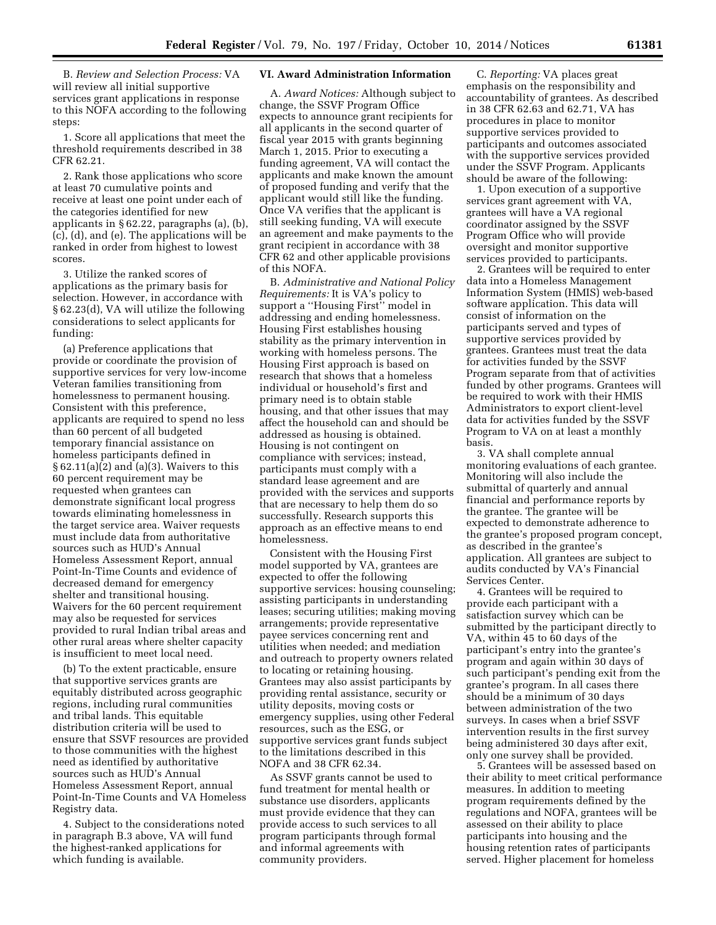B. *Review and Selection Process:* VA will review all initial supportive services grant applications in response to this NOFA according to the following steps:

1. Score all applications that meet the threshold requirements described in 38 CFR 62.21.

2. Rank those applications who score at least 70 cumulative points and receive at least one point under each of the categories identified for new applicants in § 62.22, paragraphs (a), (b), (c), (d), and (e). The applications will be ranked in order from highest to lowest scores.

3. Utilize the ranked scores of applications as the primary basis for selection. However, in accordance with § 62.23(d), VA will utilize the following considerations to select applicants for funding:

(a) Preference applications that provide or coordinate the provision of supportive services for very low-income Veteran families transitioning from homelessness to permanent housing. Consistent with this preference, applicants are required to spend no less than 60 percent of all budgeted temporary financial assistance on homeless participants defined in § 62.11(a)(2) and (a)(3). Waivers to this 60 percent requirement may be requested when grantees can demonstrate significant local progress towards eliminating homelessness in the target service area. Waiver requests must include data from authoritative sources such as HUD's Annual Homeless Assessment Report, annual Point-In-Time Counts and evidence of decreased demand for emergency shelter and transitional housing. Waivers for the 60 percent requirement may also be requested for services provided to rural Indian tribal areas and other rural areas where shelter capacity is insufficient to meet local need.

(b) To the extent practicable, ensure that supportive services grants are equitably distributed across geographic regions, including rural communities and tribal lands. This equitable distribution criteria will be used to ensure that SSVF resources are provided to those communities with the highest need as identified by authoritative sources such as HUD's Annual Homeless Assessment Report, annual Point-In-Time Counts and VA Homeless Registry data.

4. Subject to the considerations noted in paragraph B.3 above, VA will fund the highest-ranked applications for which funding is available.

## **VI. Award Administration Information**

A. *Award Notices:* Although subject to change, the SSVF Program Office expects to announce grant recipients for all applicants in the second quarter of fiscal year 2015 with grants beginning March 1, 2015. Prior to executing a funding agreement, VA will contact the applicants and make known the amount of proposed funding and verify that the applicant would still like the funding. Once VA verifies that the applicant is still seeking funding, VA will execute an agreement and make payments to the grant recipient in accordance with 38 CFR 62 and other applicable provisions of this NOFA.

B. *Administrative and National Policy Requirements:* It is VA's policy to support a ''Housing First'' model in addressing and ending homelessness. Housing First establishes housing stability as the primary intervention in working with homeless persons. The Housing First approach is based on research that shows that a homeless individual or household's first and primary need is to obtain stable housing, and that other issues that may affect the household can and should be addressed as housing is obtained. Housing is not contingent on compliance with services; instead, participants must comply with a standard lease agreement and are provided with the services and supports that are necessary to help them do so successfully. Research supports this approach as an effective means to end homelessness.

Consistent with the Housing First model supported by VA, grantees are expected to offer the following supportive services: housing counseling; assisting participants in understanding leases; securing utilities; making moving arrangements; provide representative payee services concerning rent and utilities when needed; and mediation and outreach to property owners related to locating or retaining housing. Grantees may also assist participants by providing rental assistance, security or utility deposits, moving costs or emergency supplies, using other Federal resources, such as the ESG, or supportive services grant funds subject to the limitations described in this NOFA and 38 CFR 62.34.

As SSVF grants cannot be used to fund treatment for mental health or substance use disorders, applicants must provide evidence that they can provide access to such services to all program participants through formal and informal agreements with community providers.

C. *Reporting:* VA places great emphasis on the responsibility and accountability of grantees. As described in 38 CFR 62.63 and 62.71, VA has procedures in place to monitor supportive services provided to participants and outcomes associated with the supportive services provided under the SSVF Program. Applicants should be aware of the following:

1. Upon execution of a supportive services grant agreement with VA, grantees will have a VA regional coordinator assigned by the SSVF Program Office who will provide oversight and monitor supportive services provided to participants.

2. Grantees will be required to enter data into a Homeless Management Information System (HMIS) web-based software application. This data will consist of information on the participants served and types of supportive services provided by grantees. Grantees must treat the data for activities funded by the SSVF Program separate from that of activities funded by other programs. Grantees will be required to work with their HMIS Administrators to export client-level data for activities funded by the SSVF Program to VA on at least a monthly basis.

3. VA shall complete annual monitoring evaluations of each grantee. Monitoring will also include the submittal of quarterly and annual financial and performance reports by the grantee. The grantee will be expected to demonstrate adherence to the grantee's proposed program concept, as described in the grantee's application. All grantees are subject to audits conducted by VA's Financial Services Center.

4. Grantees will be required to provide each participant with a satisfaction survey which can be submitted by the participant directly to VA, within 45 to 60 days of the participant's entry into the grantee's program and again within 30 days of such participant's pending exit from the grantee's program. In all cases there should be a minimum of 30 days between administration of the two surveys. In cases when a brief SSVF intervention results in the first survey being administered 30 days after exit, only one survey shall be provided.

5. Grantees will be assessed based on their ability to meet critical performance measures. In addition to meeting program requirements defined by the regulations and NOFA, grantees will be assessed on their ability to place participants into housing and the housing retention rates of participants served. Higher placement for homeless